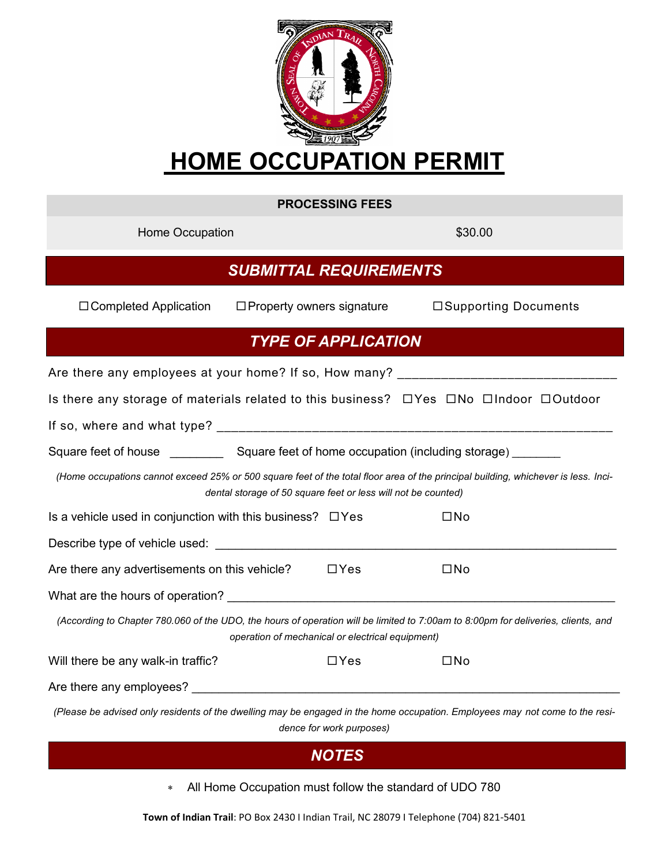

|                                                                                                                                                                                                     | <b>PROCESSING FEES</b>   |                       |  |
|-----------------------------------------------------------------------------------------------------------------------------------------------------------------------------------------------------|--------------------------|-----------------------|--|
| Home Occupation                                                                                                                                                                                     |                          | \$30.00               |  |
| <b>SUBMITTAL REQUIREMENTS</b>                                                                                                                                                                       |                          |                       |  |
| $\Box$ Completed Application<br>$\Box$ Property owners signature                                                                                                                                    |                          | □Supporting Documents |  |
| <b>TYPE OF APPLICATION</b>                                                                                                                                                                          |                          |                       |  |
|                                                                                                                                                                                                     |                          |                       |  |
| Is there any storage of materials related to this business? □Yes □No □Indoor □Outdoor                                                                                                               |                          |                       |  |
|                                                                                                                                                                                                     |                          |                       |  |
|                                                                                                                                                                                                     |                          |                       |  |
| (Home occupations cannot exceed 25% or 500 square feet of the total floor area of the principal building, whichever is less. Inci-<br>dental storage of 50 square feet or less will not be counted) |                          |                       |  |
| Is a vehicle used in conjunction with this business? $\Box$ Yes                                                                                                                                     |                          | $\square$ No          |  |
|                                                                                                                                                                                                     |                          |                       |  |
| Are there any advertisements on this vehicle?                                                                                                                                                       | $\Box$ Yes               | $\square$ No          |  |
|                                                                                                                                                                                                     |                          |                       |  |
| (According to Chapter 780.060 of the UDO, the hours of operation will be limited to 7:00am to 8:00pm for deliveries, clients, and<br>operation of mechanical or electrical equipment)               |                          |                       |  |
| Will there be any walk-in traffic?                                                                                                                                                                  | $\Box$ Yes               | $\square$ No          |  |
|                                                                                                                                                                                                     |                          |                       |  |
| (Please be advised only residents of the dwelling may be engaged in the home occupation. Employees may not come to the resi-                                                                        | dence for work purposes) |                       |  |

## *NOTES*

All Home Occupation must follow the standard of UDO 780

**Town of Indian Trail**: PO Box 2430 I Indian Trail, NC 28079 I Telephone (704) 821-5401